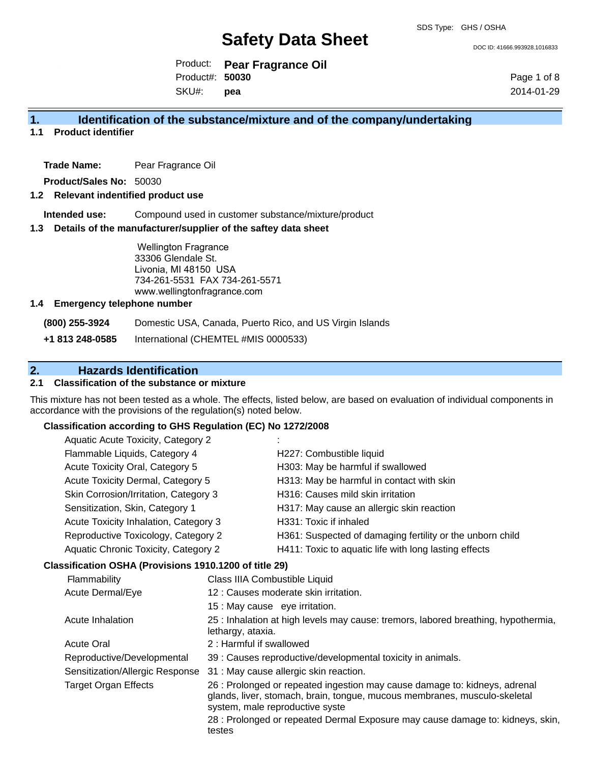DOC ID: 41666.993928.1016833

Product: **Pear Fragrance Oil** Product#: **50030**

SKU#: **pea** Page 1 of 8 2014-01-29

# **1. Identification of the substance/mixture and of the company/undertaking**

**1.1 Product identifier**

**Trade Name:** Pear Fragrance Oil

**Product/Sales No:** 50030

### **1.2 Relevant indentified product use**

**Intended use:** Compound used in customer substance/mixture/product

#### **1.3 Details of the manufacturer/supplier of the saftey data sheet**

Wellington Fragrance 33306 Glendale St. Livonia, MI 48150 USA 734-261-5531 FAX 734-261-5571 www.wellingtonfragrance.com

#### **1.4 Emergency telephone number**

**(800) 255-3924** Domestic USA, Canada, Puerto Rico, and US Virgin Islands

**+1 813 248-0585** International (CHEMTEL #MIS 0000533)

# **2. Hazards Identification**

## **2.1 Classification of the substance or mixture**

This mixture has not been tested as a whole. The effects, listed below, are based on evaluation of individual components in accordance with the provisions of the regulation(s) noted below.

### **Classification according to GHS Regulation (EC) No 1272/2008**

|                                  | Aquatic Acute Toxicity, Category 2                                                                              |                                | ٠                                                                                   |  |  |
|----------------------------------|-----------------------------------------------------------------------------------------------------------------|--------------------------------|-------------------------------------------------------------------------------------|--|--|
|                                  | Flammable Liquids, Category 4                                                                                   |                                | H227: Combustible liquid                                                            |  |  |
|                                  | Acute Toxicity Oral, Category 5                                                                                 |                                | H303: May be harmful if swallowed                                                   |  |  |
|                                  | Acute Toxicity Dermal, Category 5                                                                               |                                | H313: May be harmful in contact with skin                                           |  |  |
|                                  | Skin Corrosion/Irritation, Category 3                                                                           |                                | H316: Causes mild skin irritation                                                   |  |  |
|                                  | Sensitization, Skin, Category 1<br>Acute Toxicity Inhalation, Category 3<br>Reproductive Toxicology, Category 2 |                                | H317: May cause an allergic skin reaction                                           |  |  |
|                                  |                                                                                                                 |                                | H331: Toxic if inhaled<br>H361: Suspected of damaging fertility or the unborn child |  |  |
|                                  |                                                                                                                 |                                |                                                                                     |  |  |
|                                  | Aquatic Chronic Toxicity, Category 2                                                                            |                                | H411: Toxic to aquatic life with long lasting effects                               |  |  |
|                                  | Classification OSHA (Provisions 1910.1200 of title 29)                                                          |                                |                                                                                     |  |  |
| Flammability<br>Acute Dermal/Eye |                                                                                                                 | Class IIIA Combustible Liquid  |                                                                                     |  |  |
|                                  |                                                                                                                 |                                | 12 : Causes moderate skin irritation.                                               |  |  |
|                                  |                                                                                                                 | 15 : May cause eye irritation. |                                                                                     |  |  |
|                                  |                                                                                                                 |                                |                                                                                     |  |  |

Acute Inhalation 25 : Inhalation at high levels may cause: tremors, labored breathing, hypothermia,

- 
- Acute Oral 2 : Harmful if swallowed

lethargy, ataxia.

- Reproductive/Developmental 39 : Causes reproductive/developmental toxicity in animals.
- Sensitization/Allergic Response 31 : May cause allergic skin reaction.

Target Organ Effects 26 : Prolonged or repeated ingestion may cause damage to: kidneys, adrenal glands, liver, stomach, brain, tongue, mucous membranes, musculo-skeletal system, male reproductive syste

> 28 : Prolonged or repeated Dermal Exposure may cause damage to: kidneys, skin, testes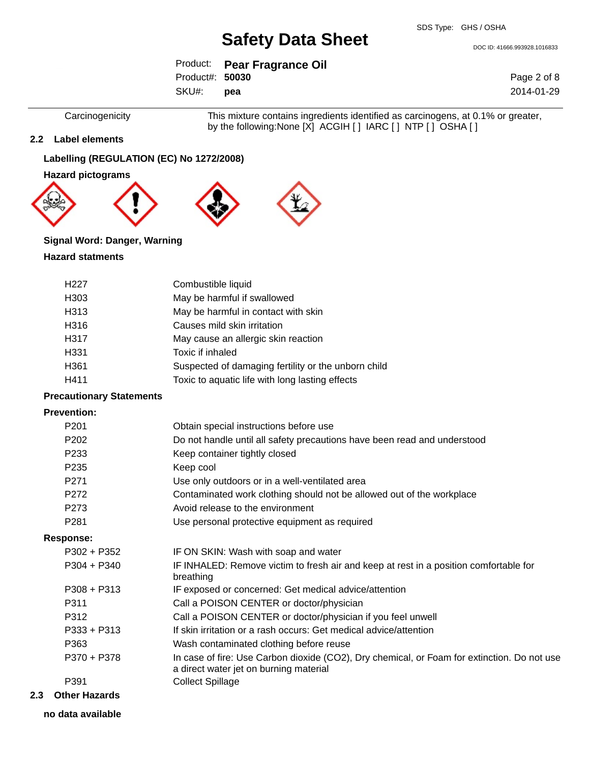DOC ID: 41666.993928.1016833

|                 | Product: Pear Fragrance Oil |
|-----------------|-----------------------------|
| Product#: 50030 |                             |
| SKU#:           | <b>pea</b>                  |

Page 2 of 8 2014-01-29

Carcinogenicity This mixture contains ingredients identified as carcinogens, at 0.1% or greater, by the following:None [X] ACGIH [ ] IARC [ ] NTP [ ] OSHA [ ]

## **2.2 Label elements**

## **Labelling (REGULATION (EC) No 1272/2008)**

**Hazard pictograms**









## **Signal Word: Danger, Warning**

### **Hazard statments**

| H <sub>22</sub> 7 | Combustible liquid                                  |
|-------------------|-----------------------------------------------------|
| H <sub>303</sub>  | May be harmful if swallowed                         |
| H313              | May be harmful in contact with skin                 |
| H316              | Causes mild skin irritation                         |
| H317              | May cause an allergic skin reaction                 |
| H331              | Toxic if inhaled                                    |
| H <sub>361</sub>  | Suspected of damaging fertility or the unborn child |
| H411              | Toxic to aquatic life with long lasting effects     |

#### **Precautionary Statements**

### **Prevention:**

| P <sub>201</sub> | Obtain special instructions before use                                                                                                |
|------------------|---------------------------------------------------------------------------------------------------------------------------------------|
| P <sub>202</sub> | Do not handle until all safety precautions have been read and understood                                                              |
| P <sub>233</sub> | Keep container tightly closed                                                                                                         |
| P <sub>235</sub> | Keep cool                                                                                                                             |
| P <sub>271</sub> | Use only outdoors or in a well-ventilated area                                                                                        |
| P272             | Contaminated work clothing should not be allowed out of the workplace                                                                 |
| P <sub>273</sub> | Avoid release to the environment                                                                                                      |
| P <sub>281</sub> | Use personal protective equipment as required                                                                                         |
| <b>Response:</b> |                                                                                                                                       |
| $P302 + P352$    | IF ON SKIN: Wash with soap and water                                                                                                  |
| $P304 + P340$    | IF INHALED: Remove victim to fresh air and keep at rest in a position comfortable for<br>breathing                                    |
| $P308 + P313$    | IF exposed or concerned: Get medical advice/attention                                                                                 |
| P311             | Call a POISON CENTER or doctor/physician                                                                                              |
| P312             | Call a POISON CENTER or doctor/physician if you feel unwell                                                                           |
| P333 + P313      | If skin irritation or a rash occurs: Get medical advice/attention                                                                     |
| P363             | Wash contaminated clothing before reuse                                                                                               |
| P370 + P378      | In case of fire: Use Carbon dioxide (CO2), Dry chemical, or Foam for extinction. Do not use<br>a direct water jet on burning material |
| P391             | <b>Collect Spillage</b>                                                                                                               |
|                  |                                                                                                                                       |

### **2.3 Other Hazards**

**no data available**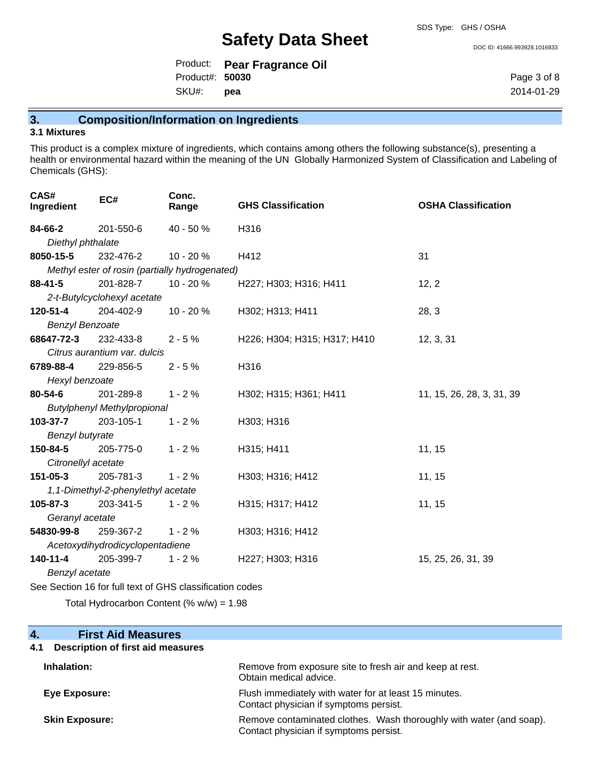DOC ID: 41666.993928.1016833

|                 | Product: Pear Fragrance Oil |
|-----------------|-----------------------------|
| Product#: 50030 |                             |
| SKU#:           | pea                         |

Page 3 of 8 2014-01-29

# **3. Composition/Information on Ingredients**

# **3.1 Mixtures**

This product is a complex mixture of ingredients, which contains among others the following substance(s), presenting a health or environmental hazard within the meaning of the UN Globally Harmonized System of Classification and Labeling of Chemicals (GHS):

| CAS#<br>Ingredient                                       | EC#                                | Conc.<br>Range                                 | <b>GHS Classification</b>    | <b>OSHA Classification</b> |  |
|----------------------------------------------------------|------------------------------------|------------------------------------------------|------------------------------|----------------------------|--|
| 84-66-2                                                  | 201-550-6                          | 40 - 50 %                                      | H316                         |                            |  |
| Diethyl phthalate                                        |                                    |                                                |                              |                            |  |
| 8050-15-5                                                | 232-476-2                          | 10 - 20 %                                      | H412                         | 31                         |  |
|                                                          |                                    | Methyl ester of rosin (partially hydrogenated) |                              |                            |  |
| $88 - 41 - 5$                                            | 201-828-7                          | $10 - 20%$                                     | H227; H303; H316; H411       | 12, 2                      |  |
|                                                          | 2-t-Butylcyclohexyl acetate        |                                                |                              |                            |  |
| 120-51-4                                                 | 204-402-9                          | 10 - 20 %                                      | H302; H313; H411             | 28, 3                      |  |
| <b>Benzyl Benzoate</b>                                   |                                    |                                                |                              |                            |  |
| 68647-72-3                                               | 232-433-8                          | $2 - 5%$                                       | H226; H304; H315; H317; H410 | 12, 3, 31                  |  |
|                                                          | Citrus aurantium var. dulcis       |                                                |                              |                            |  |
| 6789-88-4                                                | 229-856-5                          | $2 - 5%$                                       | H316                         |                            |  |
| Hexyl benzoate                                           |                                    |                                                |                              |                            |  |
| 80-54-6                                                  | 201-289-8                          | $1 - 2%$                                       | H302; H315; H361; H411       | 11, 15, 26, 28, 3, 31, 39  |  |
|                                                          | <b>Butylphenyl Methylpropional</b> |                                                |                              |                            |  |
| 103-37-7                                                 | 203-105-1                          | $1 - 2%$                                       | H303; H316                   |                            |  |
| Benzyl butyrate                                          |                                    |                                                |                              |                            |  |
| 150-84-5                                                 | 205-775-0                          | $1 - 2%$                                       | H315; H411                   | 11, 15                     |  |
|                                                          | Citronellyl acetate                |                                                |                              |                            |  |
| 151-05-3                                                 | 205-781-3                          | $1 - 2%$                                       | H303; H316; H412             | 11, 15                     |  |
|                                                          | 1,1-Dimethyl-2-phenylethyl acetate |                                                |                              |                            |  |
| 105-87-3                                                 | 203-341-5                          | $1 - 2%$                                       | H315; H317; H412             | 11, 15                     |  |
| Geranyl acetate                                          |                                    |                                                |                              |                            |  |
| 54830-99-8                                               | 259-367-2                          | $1 - 2%$                                       | H303; H316; H412             |                            |  |
| Acetoxydihydrodicyclopentadiene                          |                                    |                                                |                              |                            |  |
| 140-11-4                                                 | 205-399-7                          | $1 - 2%$                                       | H227; H303; H316             | 15, 25, 26, 31, 39         |  |
| Benzyl acetate                                           |                                    |                                                |                              |                            |  |
| See Section 16 for full text of GHS classification codes |                                    |                                                |                              |                            |  |

Total Hydrocarbon Content (% w/w) = 1.98

| <b>First Aid Measures</b><br>4.                 |                                                                                                               |
|-------------------------------------------------|---------------------------------------------------------------------------------------------------------------|
| <b>Description of first aid measures</b><br>4.1 |                                                                                                               |
| Inhalation:                                     | Remove from exposure site to fresh air and keep at rest.<br>Obtain medical advice.                            |
| Eye Exposure:                                   | Flush immediately with water for at least 15 minutes.<br>Contact physician if symptoms persist.               |
| <b>Skin Exposure:</b>                           | Remove contaminated clothes. Wash thoroughly with water (and soap).<br>Contact physician if symptoms persist. |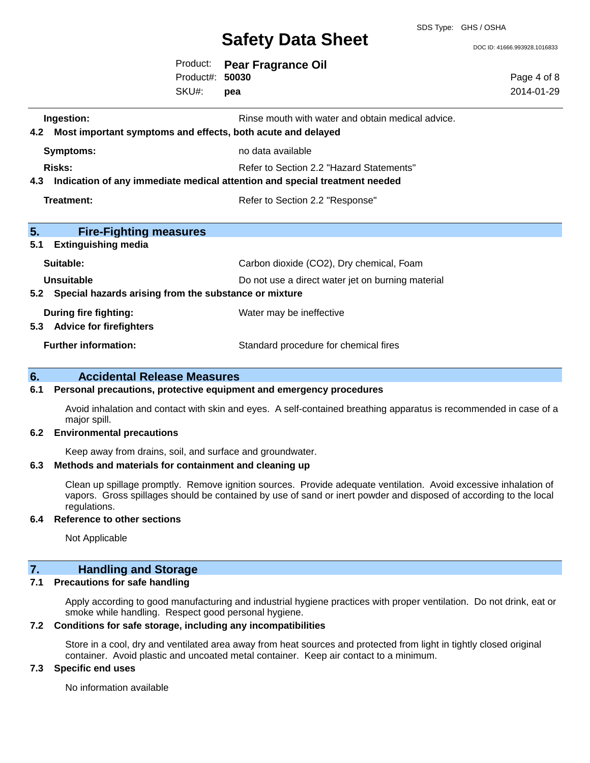SDS Type: GHS / OSHA

DOC ID: 41666.993928.1016833

|                                                                                             | Product:<br>Product#: 50030<br>SKU#: | <b>Pear Fragrance Oil</b><br>pea                                                                                                                | Page 4 of 8<br>2014-01-29 |
|---------------------------------------------------------------------------------------------|--------------------------------------|-------------------------------------------------------------------------------------------------------------------------------------------------|---------------------------|
| Ingestion:<br>4.2 Most important symptoms and effects, both acute and delayed               |                                      | Rinse mouth with water and obtain medical advice.                                                                                               |                           |
| <b>Symptoms:</b><br><b>Risks:</b>                                                           |                                      | no data available<br>Refer to Section 2.2 "Hazard Statements"<br>4.3 Indication of any immediate medical attention and special treatment needed |                           |
| <b>Treatment:</b>                                                                           |                                      | Refer to Section 2.2 "Response"                                                                                                                 |                           |
| 5.<br><b>Fire-Fighting measures</b><br><b>Extinguishing media</b><br>5.1                    |                                      |                                                                                                                                                 |                           |
| Suitable:<br><b>Unsuitable</b><br>5.2 Special hazards arising from the substance or mixture |                                      | Carbon dioxide (CO2), Dry chemical, Foam<br>Do not use a direct water jet on burning material                                                   |                           |
| <b>During fire fighting:</b><br>5.3 Advice for firefighters<br><b>Further information:</b>  |                                      | Water may be ineffective<br>Standard procedure for chemical fires                                                                               |                           |
| 6.<br><b>Accidental Release Measures</b>                                                    |                                      |                                                                                                                                                 |                           |

#### **6.1 Personal precautions, protective equipment and emergency procedures**

Avoid inhalation and contact with skin and eyes. A self-contained breathing apparatus is recommended in case of a major spill.

#### **6.2 Environmental precautions**

Keep away from drains, soil, and surface and groundwater.

#### **6.3 Methods and materials for containment and cleaning up**

Clean up spillage promptly. Remove ignition sources. Provide adequate ventilation. Avoid excessive inhalation of vapors. Gross spillages should be contained by use of sand or inert powder and disposed of according to the local regulations.

#### **6.4 Reference to other sections**

Not Applicable

## **7. Handling and Storage**

### **7.1 Precautions for safe handling**

Apply according to good manufacturing and industrial hygiene practices with proper ventilation. Do not drink, eat or smoke while handling. Respect good personal hygiene.

#### **7.2 Conditions for safe storage, including any incompatibilities**

Store in a cool, dry and ventilated area away from heat sources and protected from light in tightly closed original container. Avoid plastic and uncoated metal container. Keep air contact to a minimum.

### **7.3 Specific end uses**

No information available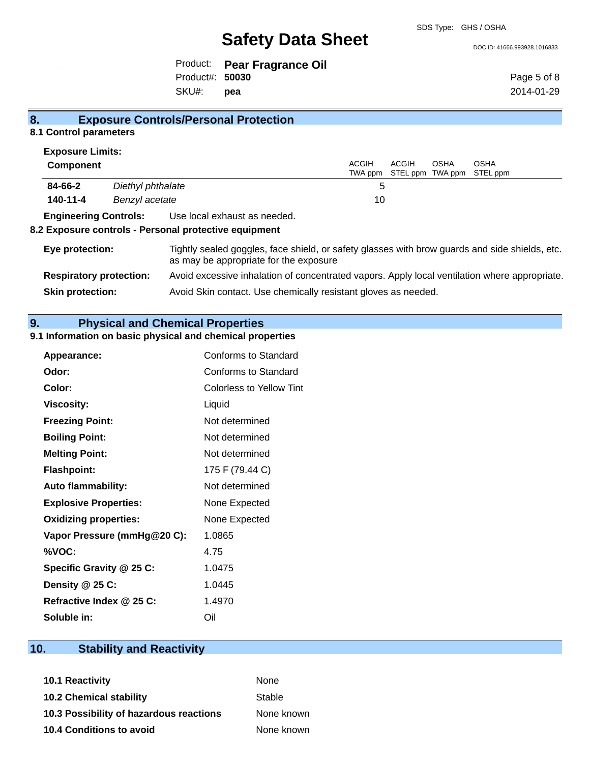SDS Type: GHS / OSHA

DOC ID: 41666.993928.1016833

|                 | Product: Pear Fragrance Oil |
|-----------------|-----------------------------|
| Product#: 50030 |                             |
| SKU#: pea       |                             |

Page 5 of 8 2014-01-29

# **8. Exposure Controls/Personal Protection**

# **8.1 Control parameters**

| <b>Exposure Limits:</b>        |                   |                                                                                                                                          |                         |       |      |                                          |
|--------------------------------|-------------------|------------------------------------------------------------------------------------------------------------------------------------------|-------------------------|-------|------|------------------------------------------|
| <b>Component</b>               |                   |                                                                                                                                          | <b>ACGIH</b><br>TWA ppm | ACGIH | OSHA | <b>OSHA</b><br>STEL ppm TWA ppm STEL ppm |
| 84-66-2                        | Diethyl phthalate |                                                                                                                                          | 5                       |       |      |                                          |
| 140-11-4                       | Benzyl acetate    |                                                                                                                                          | 10                      |       |      |                                          |
| <b>Engineering Controls:</b>   |                   | Use local exhaust as needed.                                                                                                             |                         |       |      |                                          |
|                                |                   | 8.2 Exposure controls - Personal protective equipment                                                                                    |                         |       |      |                                          |
| Eye protection:                |                   | Tightly sealed goggles, face shield, or safety glasses with brow guards and side shields, etc.<br>as may be appropriate for the exposure |                         |       |      |                                          |
| <b>Respiratory protection:</b> |                   | Avoid excessive inhalation of concentrated vapors. Apply local ventilation where appropriate.                                            |                         |       |      |                                          |
| <b>Skin protection:</b>        |                   | Avoid Skin contact. Use chemically resistant gloves as needed.                                                                           |                         |       |      |                                          |

# **9. Physical and Chemical Properties**

# **9.1 Information on basic physical and chemical properties**

| Appearance:                  | Conforms to Standard        |
|------------------------------|-----------------------------|
| Odor:                        | <b>Conforms to Standard</b> |
| Color:                       | Colorless to Yellow Tint    |
| <b>Viscosity:</b>            | Liquid                      |
| <b>Freezing Point:</b>       | Not determined              |
| <b>Boiling Point:</b>        | Not determined              |
| <b>Melting Point:</b>        | Not determined              |
| <b>Flashpoint:</b>           | 175 F (79.44 C)             |
| <b>Auto flammability:</b>    | Not determined              |
| <b>Explosive Properties:</b> | None Expected               |
| <b>Oxidizing properties:</b> | None Expected               |
| Vapor Pressure (mmHg@20 C):  | 1.0865                      |
| %VOC:                        | 4.75                        |
| Specific Gravity @ 25 C:     | 1.0475                      |
| Density @ 25 C:              | 1.0445                      |
| Refractive Index @ 25 C:     | 1.4970                      |
| Soluble in:                  | Oil                         |

# **10. Stability and Reactivity**

| 10.1 Reactivity                         | None       |
|-----------------------------------------|------------|
| <b>10.2 Chemical stability</b>          | Stable     |
| 10.3 Possibility of hazardous reactions | None known |
| 10.4 Conditions to avoid                | None known |
|                                         |            |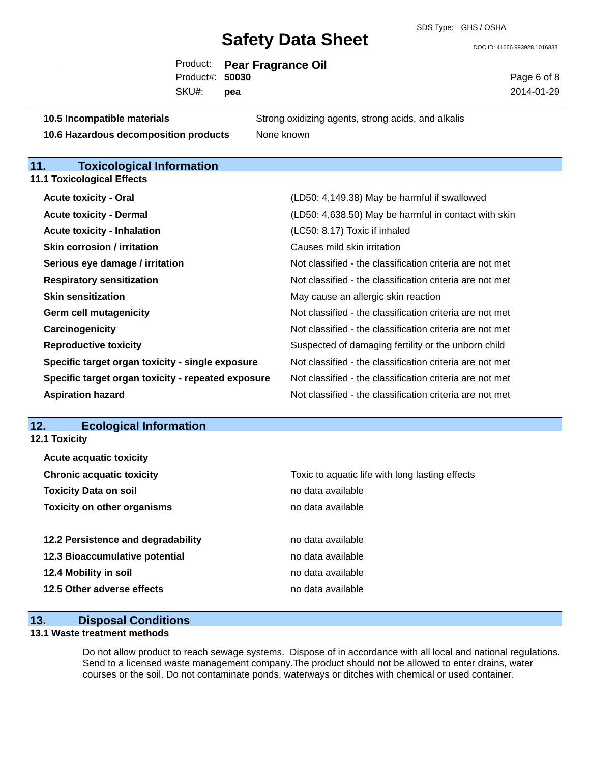DOC ID: 41666.993928.1016833

|                                                                              | Product:<br>Product#:<br>SKU#: | 50030<br>pea | <b>Pear Fragrance Oil</b>                                | Page 6 of 8<br>2014-01-29 |
|------------------------------------------------------------------------------|--------------------------------|--------------|----------------------------------------------------------|---------------------------|
| 10.5 Incompatible materials                                                  |                                |              | Strong oxidizing agents, strong acids, and alkalis       |                           |
| 10.6 Hazardous decomposition products                                        |                                |              | None known                                               |                           |
| <b>Toxicological Information</b><br>11.<br><b>11.1 Toxicological Effects</b> |                                |              |                                                          |                           |
| <b>Acute toxicity - Oral</b>                                                 |                                |              | (LD50: 4,149.38) May be harmful if swallowed             |                           |
| <b>Acute toxicity - Dermal</b>                                               |                                |              | (LD50: 4,638.50) May be harmful in contact with skin     |                           |
| <b>Acute toxicity - Inhalation</b>                                           |                                |              | (LC50: 8.17) Toxic if inhaled                            |                           |
| <b>Skin corrosion / irritation</b>                                           |                                |              | Causes mild skin irritation                              |                           |
| Serious eye damage / irritation                                              |                                |              | Not classified - the classification criteria are not met |                           |
| <b>Respiratory sensitization</b>                                             |                                |              | Not classified - the classification criteria are not met |                           |
| <b>Skin sensitization</b>                                                    |                                |              | May cause an allergic skin reaction                      |                           |
| <b>Germ cell mutagenicity</b>                                                |                                |              | Not classified - the classification criteria are not met |                           |
| Carcinogenicity                                                              |                                |              | Not classified - the classification criteria are not met |                           |
| <b>Reproductive toxicity</b>                                                 |                                |              | Suspected of damaging fertility or the unborn child      |                           |
| Specific target organ toxicity - single exposure                             |                                |              | Not classified - the classification criteria are not met |                           |
| Specific target organ toxicity - repeated exposure                           |                                |              | Not classified - the classification criteria are not met |                           |
| <b>Aspiration hazard</b>                                                     |                                |              | Not classified - the classification criteria are not met |                           |
| <b>Ecological Information</b><br>12.<br>12.1 Toxicity                        |                                |              |                                                          |                           |
| <b>Acute acquatic toxicity</b>                                               |                                |              |                                                          |                           |
| <b>Chronic acquatic toxicity</b>                                             |                                |              | Toxic to aquatic life with long lasting effects          |                           |
| <b>Toxicity Data on soil</b>                                                 |                                |              | no data available                                        |                           |
|                                                                              |                                |              |                                                          |                           |

**12.3 Bioaccumulative potential example 3 and 2.3 Bioaccumulative potential** no data available **12.4 Mobility in soil 12.4 Mobility in soil 12.5 Other adverse effects** no data available

**Toxicity on other organisms no data available 12.2 Persistence and degradability no data available** 

# **13. Disposal Conditions**

## **13.1 Waste treatment methods**

Do not allow product to reach sewage systems. Dispose of in accordance with all local and national regulations. Send to a licensed waste management company.The product should not be allowed to enter drains, water courses or the soil. Do not contaminate ponds, waterways or ditches with chemical or used container.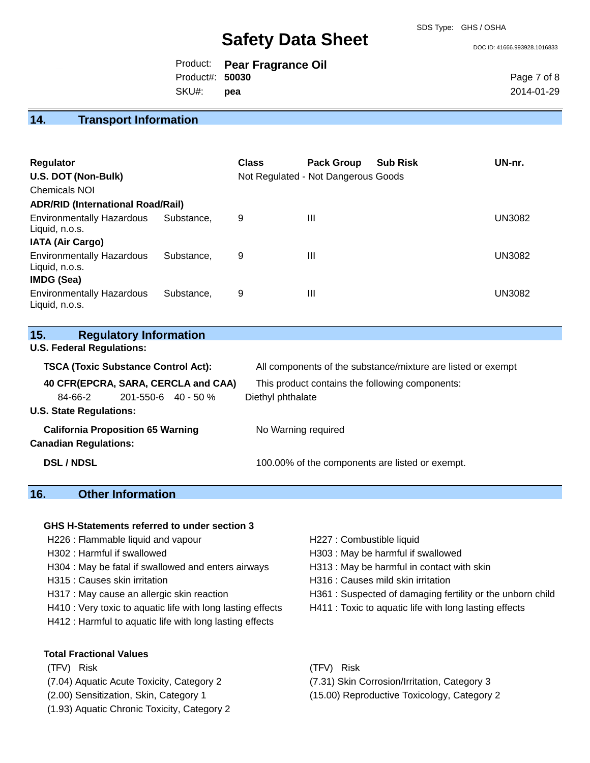SDS Type: GHS / OSHA

DOC ID: 41666.993928.1016833

|                 | Product: Pear Fragrance Oil |
|-----------------|-----------------------------|
| Product#: 50030 |                             |
| SKU#: pea       |                             |

Page 7 of 8 2014-01-29

# **14. Transport Information**

| <b>Regulator</b><br>U.S. DOT (Non-Bulk)<br><b>Chemicals NOI</b><br><b>ADR/RID (International Road/Rail)</b> |            | <b>Class</b> | <b>Pack Group</b><br>Not Regulated - Not Dangerous Goods | <b>Sub Risk</b> | UN-nr.        |
|-------------------------------------------------------------------------------------------------------------|------------|--------------|----------------------------------------------------------|-----------------|---------------|
| <b>Environmentally Hazardous</b><br>Liquid, n.o.s.<br><b>IATA (Air Cargo)</b>                               | Substance. | 9            | III                                                      |                 | <b>UN3082</b> |
| <b>Environmentally Hazardous</b><br>Liquid, n.o.s.<br><b>IMDG (Sea)</b>                                     | Substance. | 9            | Ш                                                        |                 | <b>UN3082</b> |
| <b>Environmentally Hazardous</b><br>Liquid, n.o.s.                                                          | Substance. | 9            | Ш                                                        |                 | <b>UN3082</b> |

| 15. |  | <b>Regulatory Information</b> |
|-----|--|-------------------------------|
|-----|--|-------------------------------|

**U.S. Federal Regulations:**

| <b>TSCA (Toxic Substance Control Act):</b> | All components of the substance/mixture are listed or exempt |  |  |
|--------------------------------------------|--------------------------------------------------------------|--|--|
| 40 CFR(EPCRA, SARA, CERCLA and CAA)        | This product contains the following components:              |  |  |
| $201 - 550 - 6$ 40 - 50 %<br>84-66-2       | Diethyl phthalate                                            |  |  |
| <b>U.S. State Regulations:</b>             |                                                              |  |  |
| <b>California Proposition 65 Warning</b>   | No Warning required                                          |  |  |
| <b>Canadian Regulations:</b>               |                                                              |  |  |
| <b>DSL / NDSL</b>                          | 100.00% of the components are listed or exempt.              |  |  |

# **16. Other Information**

#### **GHS H-Statements referred to under section 3**

- H226 : Flammable liquid and vapour **H227** : Combustible liquid
- 
- H304 : May be fatal if swallowed and enters airways H313 : May be harmful in contact with skin
- 
- 
- H410 : Very toxic to aquatic life with long lasting effects H411 : Toxic to aquatic life with long lasting effects
- H412 : Harmful to aquatic life with long lasting effects

### **Total Fractional Values**

- (TFV) Risk (TFV) Risk
- 
- 
- (1.93) Aquatic Chronic Toxicity, Category 2
- 
- H302 : Harmful if swallowed H303 : May be harmful if swallowed
	-
- H315 : Causes skin irritation et al. (a) H316 : Causes mild skin irritation
- H317 : May cause an allergic skin reaction H361 : Suspected of damaging fertility or the unborn child
	-

- (7.04) Aquatic Acute Toxicity, Category 2 (7.31) Skin Corrosion/Irritation, Category 3
- (2.00) Sensitization, Skin, Category 1 (15.00) Reproductive Toxicology, Category 2